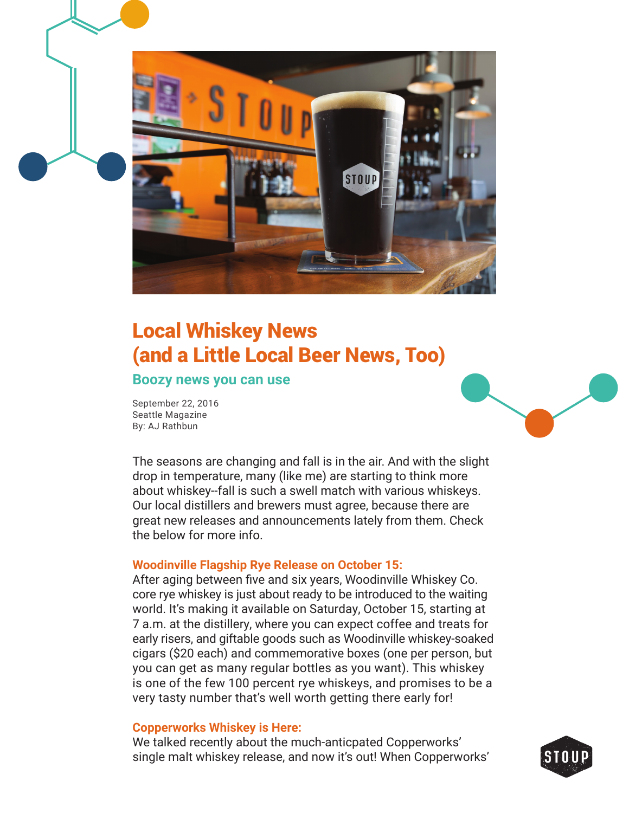

# Local Whiskey News (and a Little Local Beer News, Too)

## **Boozy news you can use**

September 22, 2016 Seattle Magazine By: AJ Rathbun

The seasons are changing and fall is in the air. And with the slight drop in temperature, many (like me) are starting to think more about whiskey--fall is such a swell match with various whiskeys. Our local distillers and brewers must agree, because there are great new releases and announcements lately from them. Check the below for more info.

### **Woodinville Flagship Rye Release on October 15:**

After aging between five and six years, Woodinville Whiskey Co. core rye whiskey is just about ready to be introduced to the waiting world. It's making it available on Saturday, October 15, starting at 7 a.m. at the distillery, where you can expect coffee and treats for early risers, and giftable goods such as Woodinville whiskey-soaked cigars (\$20 each) and commemorative boxes (one per person, but you can get as many regular bottles as you want). This whiskey is one of the few 100 percent rye whiskeys, and promises to be a very tasty number that's well worth getting there early for!

#### **Copperworks Whiskey is Here:**

We talked recently about the much-anticpated Copperworks' single malt whiskey release, and now it's out! When Copperworks'